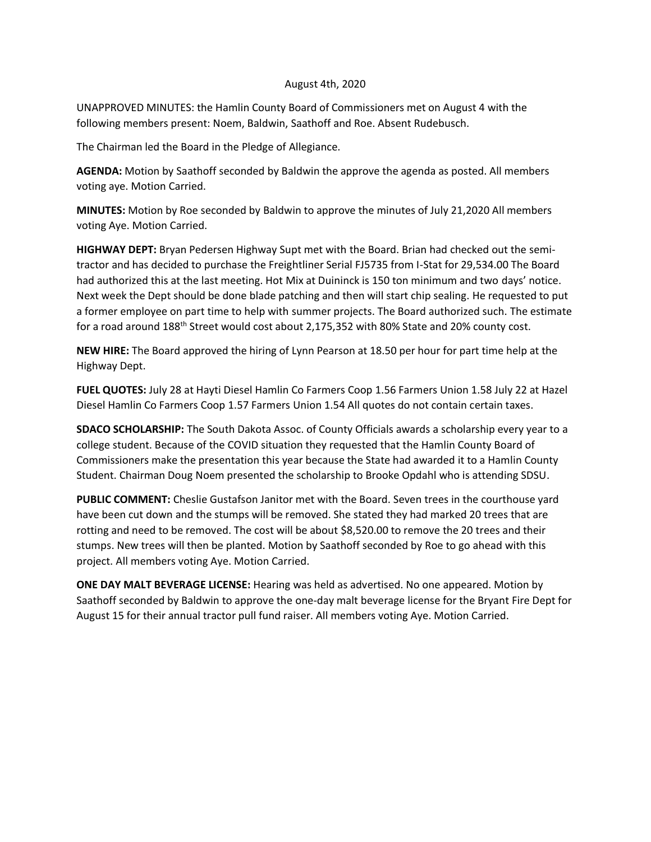## August 4th, 2020

UNAPPROVED MINUTES: the Hamlin County Board of Commissioners met on August 4 with the following members present: Noem, Baldwin, Saathoff and Roe. Absent Rudebusch.

The Chairman led the Board in the Pledge of Allegiance.

**AGENDA:** Motion by Saathoff seconded by Baldwin the approve the agenda as posted. All members voting aye. Motion Carried.

**MINUTES:** Motion by Roe seconded by Baldwin to approve the minutes of July 21,2020 All members voting Aye. Motion Carried.

**HIGHWAY DEPT:** Bryan Pedersen Highway Supt met with the Board. Brian had checked out the semitractor and has decided to purchase the Freightliner Serial FJ5735 from I-Stat for 29,534.00 The Board had authorized this at the last meeting. Hot Mix at Duininck is 150 ton minimum and two days' notice. Next week the Dept should be done blade patching and then will start chip sealing. He requested to put a former employee on part time to help with summer projects. The Board authorized such. The estimate for a road around 188th Street would cost about 2,175,352 with 80% State and 20% county cost.

**NEW HIRE:** The Board approved the hiring of Lynn Pearson at 18.50 per hour for part time help at the Highway Dept.

**FUEL QUOTES:** July 28 at Hayti Diesel Hamlin Co Farmers Coop 1.56 Farmers Union 1.58 July 22 at Hazel Diesel Hamlin Co Farmers Coop 1.57 Farmers Union 1.54 All quotes do not contain certain taxes.

**SDACO SCHOLARSHIP:** The South Dakota Assoc. of County Officials awards a scholarship every year to a college student. Because of the COVID situation they requested that the Hamlin County Board of Commissioners make the presentation this year because the State had awarded it to a Hamlin County Student. Chairman Doug Noem presented the scholarship to Brooke Opdahl who is attending SDSU.

**PUBLIC COMMENT:** Cheslie Gustafson Janitor met with the Board. Seven trees in the courthouse yard have been cut down and the stumps will be removed. She stated they had marked 20 trees that are rotting and need to be removed. The cost will be about \$8,520.00 to remove the 20 trees and their stumps. New trees will then be planted. Motion by Saathoff seconded by Roe to go ahead with this project. All members voting Aye. Motion Carried.

**ONE DAY MALT BEVERAGE LICENSE:** Hearing was held as advertised. No one appeared. Motion by Saathoff seconded by Baldwin to approve the one-day malt beverage license for the Bryant Fire Dept for August 15 for their annual tractor pull fund raiser. All members voting Aye. Motion Carried.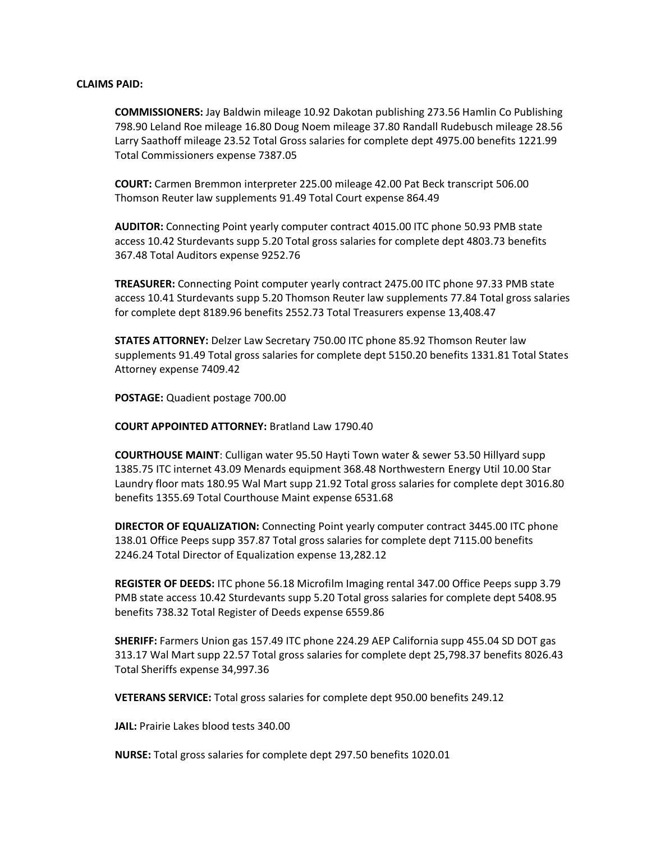## **CLAIMS PAID:**

**COMMISSIONERS:** Jay Baldwin mileage 10.92 Dakotan publishing 273.56 Hamlin Co Publishing 798.90 Leland Roe mileage 16.80 Doug Noem mileage 37.80 Randall Rudebusch mileage 28.56 Larry Saathoff mileage 23.52 Total Gross salaries for complete dept 4975.00 benefits 1221.99 Total Commissioners expense 7387.05

**COURT:** Carmen Bremmon interpreter 225.00 mileage 42.00 Pat Beck transcript 506.00 Thomson Reuter law supplements 91.49 Total Court expense 864.49

**AUDITOR:** Connecting Point yearly computer contract 4015.00 ITC phone 50.93 PMB state access 10.42 Sturdevants supp 5.20 Total gross salaries for complete dept 4803.73 benefits 367.48 Total Auditors expense 9252.76

**TREASURER:** Connecting Point computer yearly contract 2475.00 ITC phone 97.33 PMB state access 10.41 Sturdevants supp 5.20 Thomson Reuter law supplements 77.84 Total gross salaries for complete dept 8189.96 benefits 2552.73 Total Treasurers expense 13,408.47

**STATES ATTORNEY:** Delzer Law Secretary 750.00 ITC phone 85.92 Thomson Reuter law supplements 91.49 Total gross salaries for complete dept 5150.20 benefits 1331.81 Total States Attorney expense 7409.42

**POSTAGE:** Quadient postage 700.00

**COURT APPOINTED ATTORNEY:** Bratland Law 1790.40

**COURTHOUSE MAINT**: Culligan water 95.50 Hayti Town water & sewer 53.50 Hillyard supp 1385.75 ITC internet 43.09 Menards equipment 368.48 Northwestern Energy Util 10.00 Star Laundry floor mats 180.95 Wal Mart supp 21.92 Total gross salaries for complete dept 3016.80 benefits 1355.69 Total Courthouse Maint expense 6531.68

**DIRECTOR OF EQUALIZATION:** Connecting Point yearly computer contract 3445.00 ITC phone 138.01 Office Peeps supp 357.87 Total gross salaries for complete dept 7115.00 benefits 2246.24 Total Director of Equalization expense 13,282.12

**REGISTER OF DEEDS:** ITC phone 56.18 Microfilm Imaging rental 347.00 Office Peeps supp 3.79 PMB state access 10.42 Sturdevants supp 5.20 Total gross salaries for complete dept 5408.95 benefits 738.32 Total Register of Deeds expense 6559.86

**SHERIFF:** Farmers Union gas 157.49 ITC phone 224.29 AEP California supp 455.04 SD DOT gas 313.17 Wal Mart supp 22.57 Total gross salaries for complete dept 25,798.37 benefits 8026.43 Total Sheriffs expense 34,997.36

**VETERANS SERVICE:** Total gross salaries for complete dept 950.00 benefits 249.12

**JAIL:** Prairie Lakes blood tests 340.00

**NURSE:** Total gross salaries for complete dept 297.50 benefits 1020.01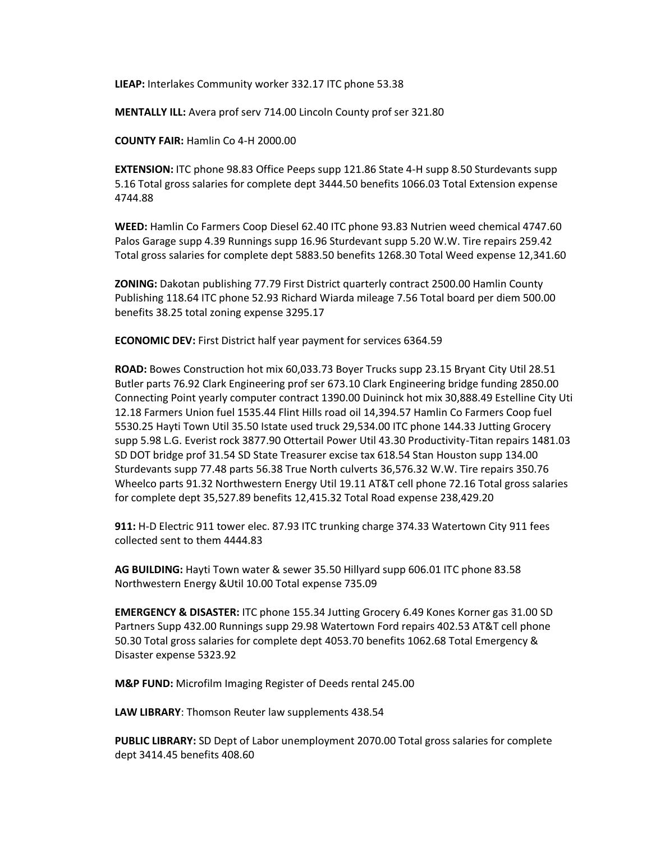**LIEAP:** Interlakes Community worker 332.17 ITC phone 53.38

**MENTALLY ILL:** Avera prof serv 714.00 Lincoln County prof ser 321.80

**COUNTY FAIR:** Hamlin Co 4-H 2000.00

**EXTENSION:** ITC phone 98.83 Office Peeps supp 121.86 State 4-H supp 8.50 Sturdevants supp 5.16 Total gross salaries for complete dept 3444.50 benefits 1066.03 Total Extension expense 4744.88

**WEED:** Hamlin Co Farmers Coop Diesel 62.40 ITC phone 93.83 Nutrien weed chemical 4747.60 Palos Garage supp 4.39 Runnings supp 16.96 Sturdevant supp 5.20 W.W. Tire repairs 259.42 Total gross salaries for complete dept 5883.50 benefits 1268.30 Total Weed expense 12,341.60

**ZONING:** Dakotan publishing 77.79 First District quarterly contract 2500.00 Hamlin County Publishing 118.64 ITC phone 52.93 Richard Wiarda mileage 7.56 Total board per diem 500.00 benefits 38.25 total zoning expense 3295.17

**ECONOMIC DEV:** First District half year payment for services 6364.59

**ROAD:** Bowes Construction hot mix 60,033.73 Boyer Trucks supp 23.15 Bryant City Util 28.51 Butler parts 76.92 Clark Engineering prof ser 673.10 Clark Engineering bridge funding 2850.00 Connecting Point yearly computer contract 1390.00 Duininck hot mix 30,888.49 Estelline City Uti 12.18 Farmers Union fuel 1535.44 Flint Hills road oil 14,394.57 Hamlin Co Farmers Coop fuel 5530.25 Hayti Town Util 35.50 Istate used truck 29,534.00 ITC phone 144.33 Jutting Grocery supp 5.98 L.G. Everist rock 3877.90 Ottertail Power Util 43.30 Productivity-Titan repairs 1481.03 SD DOT bridge prof 31.54 SD State Treasurer excise tax 618.54 Stan Houston supp 134.00 Sturdevants supp 77.48 parts 56.38 True North culverts 36,576.32 W.W. Tire repairs 350.76 Wheelco parts 91.32 Northwestern Energy Util 19.11 AT&T cell phone 72.16 Total gross salaries for complete dept 35,527.89 benefits 12,415.32 Total Road expense 238,429.20

**911:** H-D Electric 911 tower elec. 87.93 ITC trunking charge 374.33 Watertown City 911 fees collected sent to them 4444.83

**AG BUILDING:** Hayti Town water & sewer 35.50 Hillyard supp 606.01 ITC phone 83.58 Northwestern Energy &Util 10.00 Total expense 735.09

**EMERGENCY & DISASTER:** ITC phone 155.34 Jutting Grocery 6.49 Kones Korner gas 31.00 SD Partners Supp 432.00 Runnings supp 29.98 Watertown Ford repairs 402.53 AT&T cell phone 50.30 Total gross salaries for complete dept 4053.70 benefits 1062.68 Total Emergency & Disaster expense 5323.92

**M&P FUND:** Microfilm Imaging Register of Deeds rental 245.00

**LAW LIBRARY**: Thomson Reuter law supplements 438.54

**PUBLIC LIBRARY:** SD Dept of Labor unemployment 2070.00 Total gross salaries for complete dept 3414.45 benefits 408.60